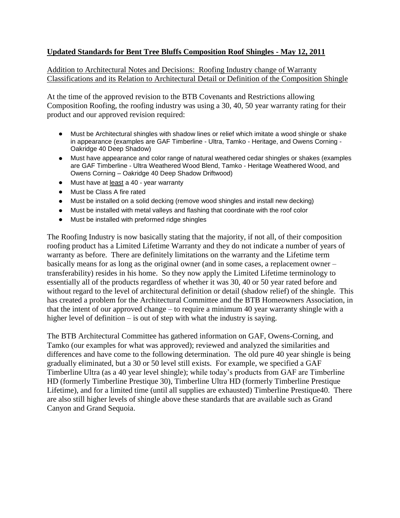## **Updated Standards for Bent Tree Bluffs Composition Roof Shingles - May 12, 2011**

Addition to Architectural Notes and Decisions: Roofing Industry change of Warranty Classifications and its Relation to Architectural Detail or Definition of the Composition Shingle

At the time of the approved revision to the BTB Covenants and Restrictions allowing Composition Roofing, the roofing industry was using a 30, 40, 50 year warranty rating for their product and our approved revision required:

- Must be Architectural shingles with shadow lines or relief which imitate a wood shingle or shake in appearance (examples are GAF Timberline - Ultra, Tamko - Heritage, and Owens Corning - Oakridge 40 Deep Shadow)
- Must have appearance and color range of natural weathered cedar shingles or shakes (examples are GAF Timberline - Ultra Weathered Wood Blend, Tamko - Heritage Weathered Wood, and Owens Corning – Oakridge 40 Deep Shadow Driftwood)
- Must have at least a 40 year warranty
- Must be Class A fire rated
- Must be installed on a solid decking (remove wood shingles and install new decking)
- Must be installed with metal valleys and flashing that coordinate with the roof color
- Must be installed with preformed ridge shingles

The Roofing Industry is now basically stating that the majority, if not all, of their composition roofing product has a Limited Lifetime Warranty and they do not indicate a number of years of warranty as before. There are definitely limitations on the warranty and the Lifetime term basically means for as long as the original owner (and in some cases, a replacement owner – transferability) resides in his home. So they now apply the Limited Lifetime terminology to essentially all of the products regardless of whether it was 30, 40 or 50 year rated before and without regard to the level of architectural definition or detail (shadow relief) of the shingle. This has created a problem for the Architectural Committee and the BTB Homeowners Association, in that the intent of our approved change – to require a minimum 40 year warranty shingle with a higher level of definition – is out of step with what the industry is saying.

The BTB Architectural Committee has gathered information on GAF, Owens-Corning, and Tamko (our examples for what was approved); reviewed and analyzed the similarities and differences and have come to the following determination. The old pure 40 year shingle is being gradually eliminated, but a 30 or 50 level still exists. For example, we specified a GAF Timberline Ultra (as a 40 year level shingle); while today's products from GAF are Timberline HD (formerly Timberline Prestique 30), Timberline Ultra HD (formerly Timberline Prestique Lifetime), and for a limited time (until all supplies are exhausted) Timberline Prestique40. There are also still higher levels of shingle above these standards that are available such as Grand Canyon and Grand Sequoia.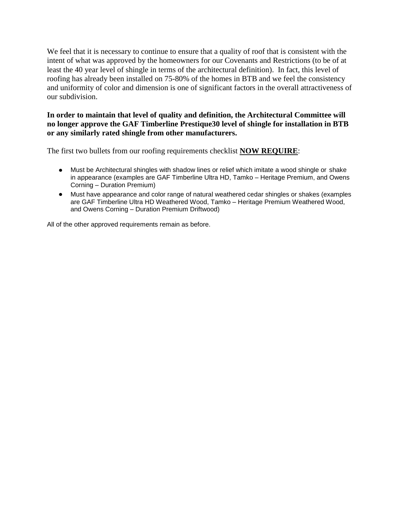We feel that it is necessary to continue to ensure that a quality of roof that is consistent with the intent of what was approved by the homeowners for our Covenants and Restrictions (to be of at least the 40 year level of shingle in terms of the architectural definition). In fact, this level of roofing has already been installed on 75-80% of the homes in BTB and we feel the consistency and uniformity of color and dimension is one of significant factors in the overall attractiveness of our subdivision.

## **In order to maintain that level of quality and definition, the Architectural Committee will no longer approve the GAF Timberline Prestique30 level of shingle for installation in BTB or any similarly rated shingle from other manufacturers.**

The first two bullets from our roofing requirements checklist **NOW REQUIRE**:

- Must be Architectural shingles with shadow lines or relief which imitate a wood shingle or shake in appearance (examples are GAF Timberline Ultra HD, Tamko – Heritage Premium, and Owens Corning – Duration Premium)
- Must have appearance and color range of natural weathered cedar shingles or shakes (examples are GAF Timberline Ultra HD Weathered Wood, Tamko – Heritage Premium Weathered Wood, and Owens Corning – Duration Premium Driftwood)

All of the other approved requirements remain as before.